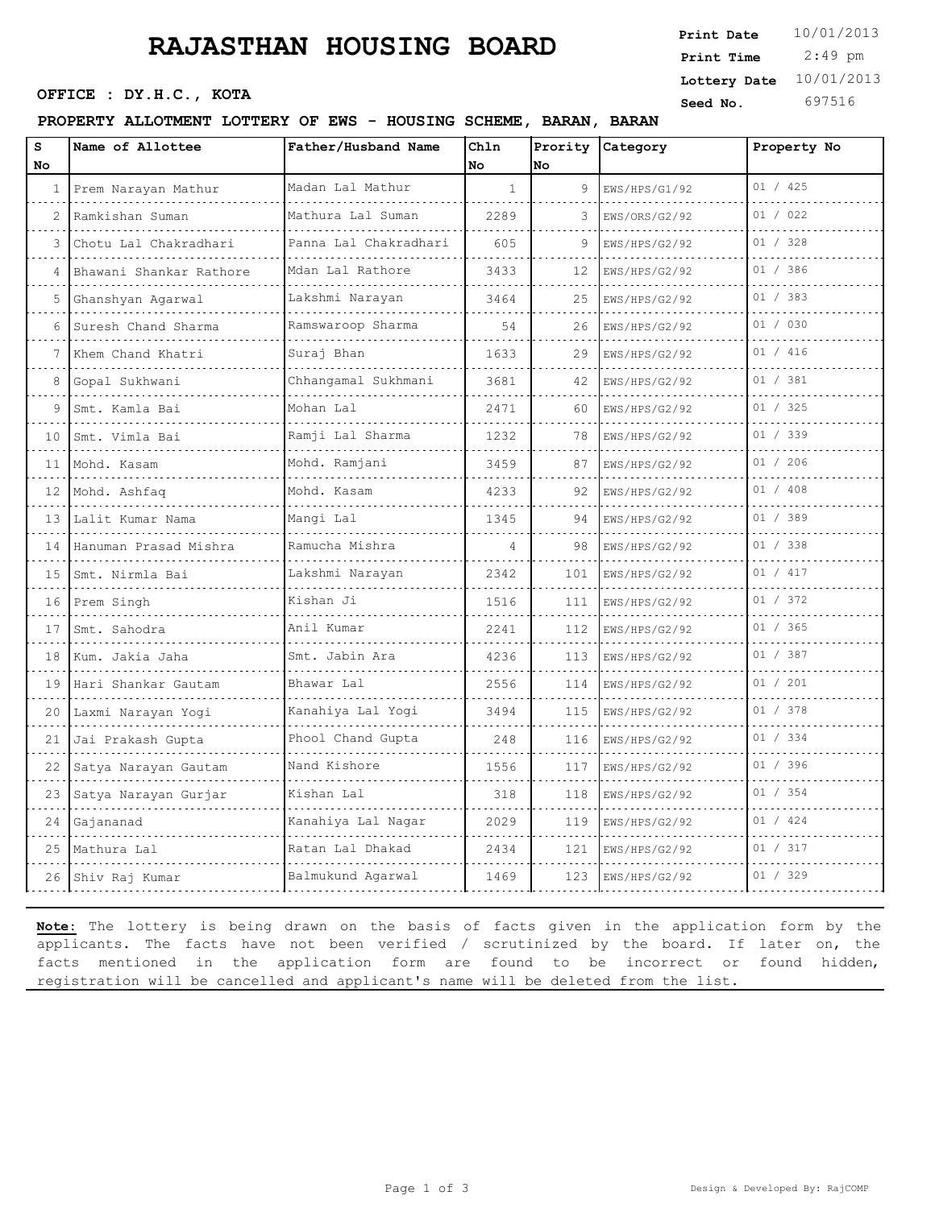# **RAJASTHAN HOUSING BOARD**

**Seed No.** 697516 **OFFICE : DY.H.C., KOTA** 

#### **PROPERTY ALLOTMENT LOTTERY OF EWS - HOUSING SCHEME, BARAN, BARAN**

| Print Date   | 10/01/2013 |
|--------------|------------|
| Print Time   | 2:49 pm    |
| Lottery Date | 10/01/2013 |

| S               | Name of Allottee           | Father/Husband Name        | Chln<br>No   |     | Prority Category | Property No |
|-----------------|----------------------------|----------------------------|--------------|-----|------------------|-------------|
| No              |                            | Madan Lal Mathur           | $\mathbf{1}$ | No  |                  | 01 / 425    |
| $\mathbf{1}$    | Prem Narayan Mathur        |                            |              | 9   | EWS/HPS/G1/92    |             |
| 2               | Ramkishan Suman            | Mathura Lal Suman          | 2289         | 3   | EWS/ORS/G2/92    | 01 / 022    |
| 3               | Chotu Lal Chakradhari<br>. | Panna Lal Chakradhari<br>. | 605          | 9   | EWS/HPS/G2/92    | 01 / 328    |
| 4               | Bhawani Shankar Rathore    | Mdan Lal Rathore           | 3433         | 12  | EWS/HPS/G2/92    | 01 / 386    |
| 5               | Ghanshyan Agarwal          | Lakshmi Narayan            | 3464         | 25  | EWS/HPS/G2/92    | 01 / 383    |
| 6               | Suresh Chand Sharma        | Ramswaroop Sharma<br>.     | 54           | 26  | EWS/HPS/G2/92    | 01 / 030    |
|                 | Khem Chand Khatri          | Suraj Bhan                 | 1633         | 29  | EWS/HPS/G2/92    | 01 / 416    |
| 8               | Gopal Sukhwani             | Chhangamal Sukhmani        | 3681         | 42  | EWS/HPS/G2/92    | 01 / 381    |
| 9               | Smt. Kamla Bai             | Mohan Lal                  | 2471         | 60  | EWS/HPS/G2/92    | 01 / 325    |
| 10              | Smt. Vimla Bai             | Ramji Lal Sharma           | 1232         | 78  | EWS/HPS/G2/92    | 01 / 339    |
| 11              | Mohd. Kasam                | Mohd. Ramjani              | 3459         | 87  | EWS/HPS/G2/92    | 01 / 206    |
| 12              | Mohd. Ashfaq               | Mohd. Kasam                | 4233         | 92  | EWS/HPS/G2/92    | 01 / 408    |
| 13              | Lalit Kumar Nama           | Mangi Lal                  | 1345         | 94  | EWS/HPS/G2/92    | 01 / 389    |
|                 | 14 Hanuman Prasad Mishra   | Ramucha Mishra             | 4            | 98  | EWS/HPS/G2/92    | 01 / 338    |
| 15              | Smt. Nirmla Bai            | Lakshmi Narayan            | 2342         | 101 | EWS/HPS/G2/92    | 01 / 417    |
| 16 <sup>1</sup> | Prem Singh<br>.            | Kishan Ji                  | 1516         | 111 | EWS/HPS/G2/92    | 01 / 372    |
| 17              | Smt. Sahodra               | Anil Kumar                 | 2241         | 112 | EWS/HPS/G2/92    | 01 / 365    |
| 18              | Kum. Jakia Jaha            | Smt. Jabin Ara             | 4236         | 113 | EWS/HPS/G2/92    | 01 / 387    |
| 19              | Hari Shankar Gautam        | Bhawar Lal                 | 2556         | 114 | EWS/HPS/G2/92    | 01 / 201    |
| 20              | Laxmi Narayan Yogi         | Kanahiya Lal Yogi          | 3494         | 115 | EWS/HPS/G2/92    | 01 / 378    |
| 21              | Jai Prakash Gupta          | Phool Chand Gupta          | 248          | 116 | EWS/HPS/G2/92    | 01 / 334    |
| 22              | Satya Narayan Gautam       | Nand Kishore               | 1556         | 117 | EWS/HPS/G2/92    | 01 / 396    |
| 23              | Satya Narayan Gurjar       | Kishan Lal                 | 318          | 118 | EWS/HPS/G2/92    | 01 / 354    |
| 24              | Gajananad                  | Kanahiya Lal Nagar         | 2029         | 119 | EWS/HPS/G2/92    | 01 / 424    |
| 25              | Mathura Lal                | Ratan Lal Dhakad           | 2434         | 121 | EWS/HPS/G2/92    | 01 / 317    |
|                 | 26 Shiv Raj Kumar          | Balmukund Agarwal          | 1469         | 123 | EWS/HPS/G2/92    | 01 / 329    |

**Note:** The lottery is being drawn on the basis of facts given in the application form by the applicants. The facts have not been verified / scrutinized by the board. If later on, the facts mentioned in the application form are found to be incorrect or found hidden, registration will be cancelled and applicant's name will be deleted from the list.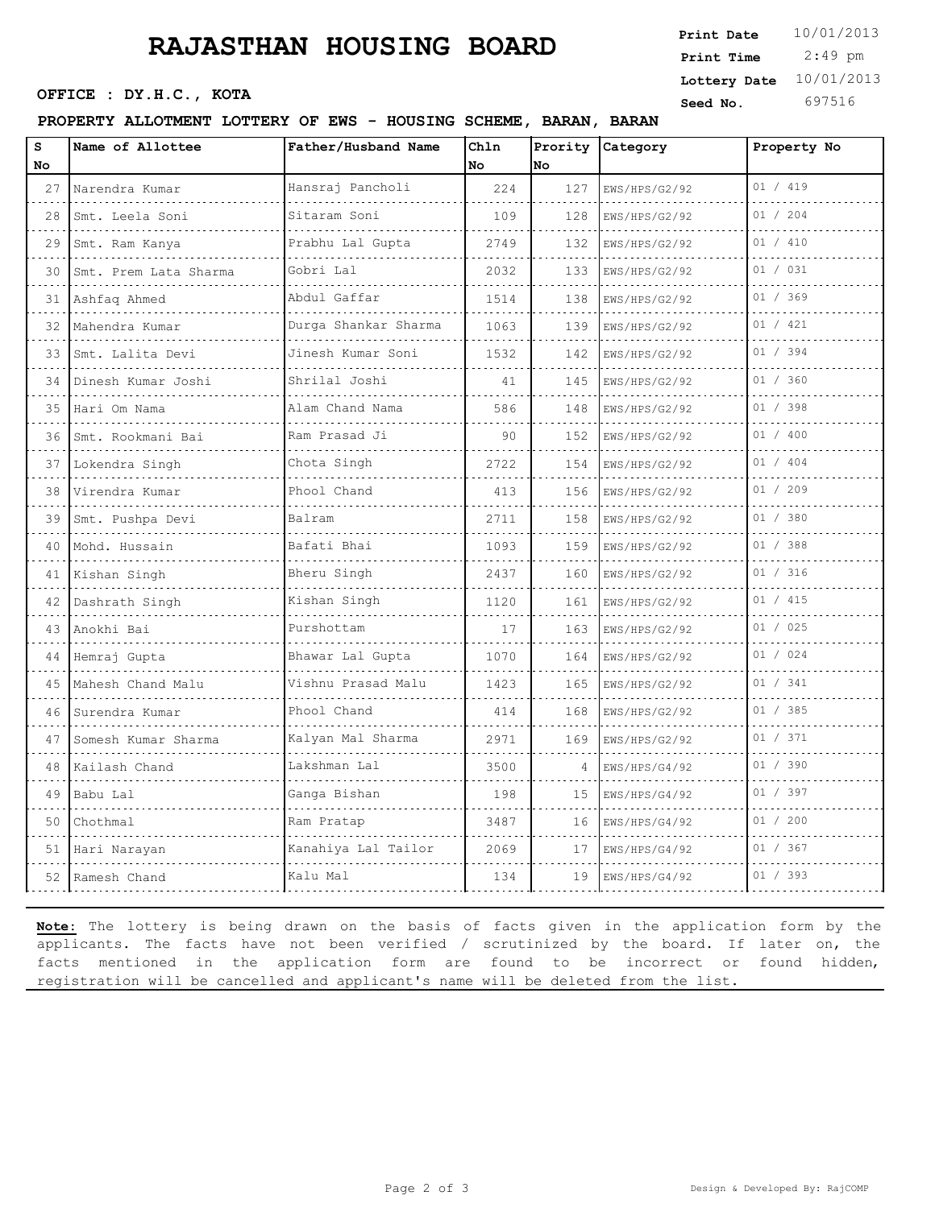# **RAJASTHAN HOUSING BOARD**

**Seed No. 697516 OFFICE : DY.H.C., KOTA** 

### **PROPERTY ALLOTMENT LOTTERY OF EWS - HOUSING SCHEME, BARAN, BARAN**

 2:49 pm **Print Date**  $10/01/2013$ **Print Time Lottery Date** 10/01/2013

| s<br>No | Name of Allottee      | Father/Husband Name    | Chln<br>No. | No. | Prority Category   | Property No |
|---------|-----------------------|------------------------|-------------|-----|--------------------|-------------|
| 27      | Narendra Kumar<br>.   | Hansraj Pancholi<br>.  | 224         | 127 | EWS/HPS/G2/92      | 01 / 419    |
| 28      | Smt. Leela Soni       | Sitaram Soni           | 109         | 128 | .<br>EWS/HPS/G2/92 | 01 / 204    |
| 29      | Smt. Ram Kanya        | Prabhu Lal Gupta       | 2749        | 132 | EWS/HPS/G2/92      | 01 / 410    |
| 30      | Smt. Prem Lata Sharma | Gobri Lal<br>.         | 2032        | 133 | EWS/HPS/G2/92      | 01 / 031    |
| 31      | Ashfaq Ahmed          | Abdul Gaffar           | 1514        | 138 | EWS/HPS/G2/92      | 01 / 369    |
| 32      | Mahendra Kumar        | Durga Shankar Sharma   | 1063        | 139 | EWS/HPS/G2/92      | 01 / 421    |
| 33      | Smt. Lalita Devi      | Jinesh Kumar Soni<br>. | 1532        | 142 | EWS/HPS/G2/92      | 01 / 394    |
| 34      | Dinesh Kumar Joshi    | Shrilal Joshi          | 41          | 145 | EWS/HPS/G2/92      | 01 / 360    |
| 35      | Hari Om Nama          | Alam Chand Nama        | 586         | 148 | EWS/HPS/G2/92      | 01 / 398    |
| 36      | Smt. Rookmani Bai     | Ram Prasad Ji<br>.     | 90          | 152 | EWS/HPS/G2/92      | 01 / 400    |
| 37      | Lokendra Singh        | Chota Singh            | 2722        | 154 | EWS/HPS/G2/92      | 01 / 404    |
| 38      | Virendra Kumar        | Phool Chand            | 413         | 156 | EWS/HPS/G2/92      | 01 / 209    |
| 39      | Smt. Pushpa Devi      | Balram                 | 2711        | 158 | EWS/HPS/G2/92      | 01 / 380    |
| 40      | Mohd. Hussain         | Bafati Bhai            | 1093        | 159 | EWS/HPS/G2/92      | 01 / 388    |
| 41      | Kishan Singh          | Bheru Singh            | 2437        | 160 | EWS/HPS/G2/92      | 01 / 316    |
| 42      | Dashrath Singh        | Kishan Singh<br>.      | 1120        | 161 | EWS/HPS/G2/92      | 01 / 415    |
| 43      | Anokhi Bai            | Purshottam             | 17          | 163 | EWS/HPS/G2/92      | 01 / 025    |
| 44      | Hemraj Gupta          | Bhawar Lal Gupta       | 1070        | 164 | EWS/HPS/G2/92      | 01 / 024    |
| 45      | Mahesh Chand Malu     | Vishnu Prasad Malu     | 1423        | 165 | EWS/HPS/G2/92      | 01 / 341    |
| 46      | Surendra Kumar        | Phool Chand            | 414         | 168 | EWS/HPS/G2/92      | 01 / 385    |
| 47      | Somesh Kumar Sharma   | Kalyan Mal Sharma      | 2971        | 169 | EWS/HPS/G2/92      | 01 / 371    |
| 48      | Kailash Chand         | Lakshman Lal           | 3500        | 4   | EWS/HPS/G4/92      | 01 / 390    |
| 49      | Babu Lal              | Ganga Bishan           | 198         | 15  | EWS/HPS/G4/92      | 01 / 397    |
| 50      | Chothmal              | Ram Pratap             | 3487        | 16  | EWS/HPS/G4/92      | 01 / 200    |
|         | 51 Hari Narayan       | Kanahiya Lal Tailor    | 2069        | 17  | EWS/HPS/G4/92      | 01 / 367    |
| 52      | Ramesh Chand          | Kalu Mal               | 134         | 19  | EWS/HPS/G4/92      | 01 / 393    |

**Note:** The lottery is being drawn on the basis of facts given in the application form by the applicants. The facts have not been verified / scrutinized by the board. If later on, the facts mentioned in the application form are found to be incorrect or found hidden, registration will be cancelled and applicant's name will be deleted from the list.